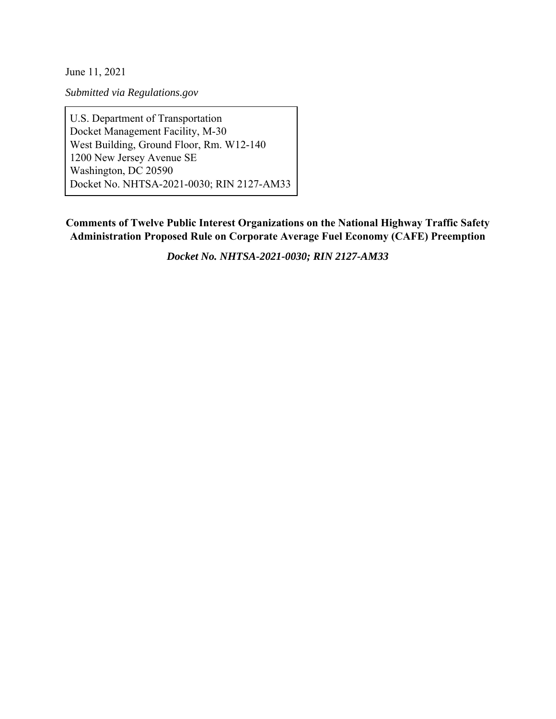June 11, 2021

*Submitted via Regulations.gov*

U.S. Department of Transportation Docket Management Facility, M-30 West Building, Ground Floor, Rm. W12-140 1200 New Jersey Avenue SE Washington, DC 20590 Docket No. NHTSA-2021-0030; RIN 2127-AM33

**Comments of Twelve Public Interest Organizations on the National Highway Traffic Safety Administration Proposed Rule on Corporate Average Fuel Economy (CAFE) Preemption** 

*Docket No. NHTSA-2021-0030; RIN 2127-AM33*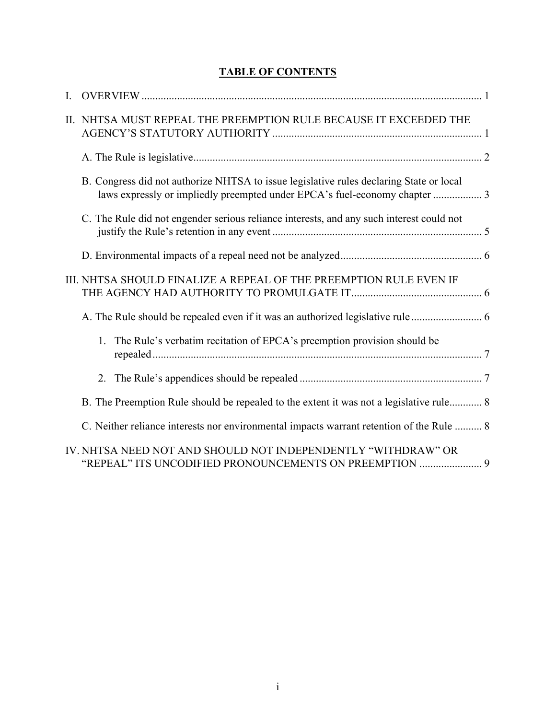# **TABLE OF CONTENTS**

| L. |                                                                                                                                                                       |
|----|-----------------------------------------------------------------------------------------------------------------------------------------------------------------------|
|    | II. NHTSA MUST REPEAL THE PREEMPTION RULE BECAUSE IT EXCEEDED THE                                                                                                     |
|    |                                                                                                                                                                       |
|    | B. Congress did not authorize NHTSA to issue legislative rules declaring State or local<br>laws expressly or impliedly preempted under EPCA's fuel-economy chapter  3 |
|    | C. The Rule did not engender serious reliance interests, and any such interest could not                                                                              |
|    |                                                                                                                                                                       |
|    | III. NHTSA SHOULD FINALIZE A REPEAL OF THE PREEMPTION RULE EVEN IF                                                                                                    |
|    | A. The Rule should be repealed even if it was an authorized legislative rule                                                                                          |
|    | The Rule's verbatim recitation of EPCA's preemption provision should be<br>1.                                                                                         |
|    | 2.                                                                                                                                                                    |
|    | B. The Preemption Rule should be repealed to the extent it was not a legislative rule 8                                                                               |
|    | C. Neither reliance interests nor environmental impacts warrant retention of the Rule  8                                                                              |
|    | IV. NHTSA NEED NOT AND SHOULD NOT INDEPENDENTLY "WITHDRAW" OR<br>"REPEAL" ITS UNCODIFIED PRONOUNCEMENTS ON PREEMPTION  9                                              |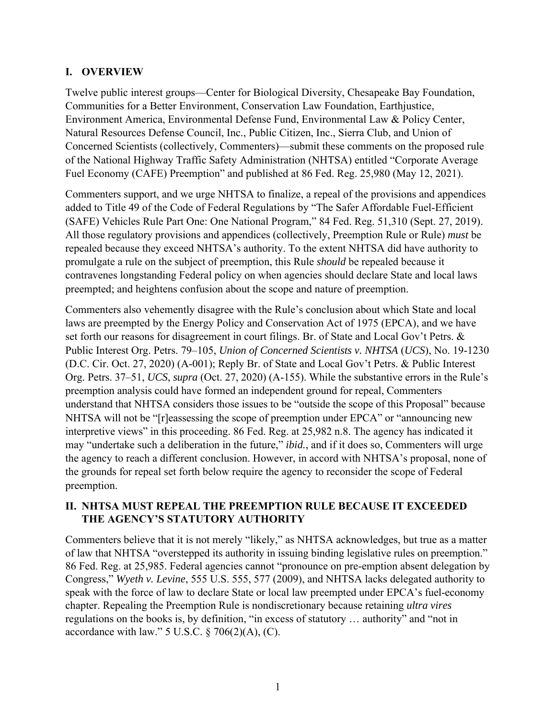## **I. OVERVIEW**

Twelve public interest groups—Center for Biological Diversity, Chesapeake Bay Foundation, Communities for a Better Environment, Conservation Law Foundation, Earthjustice, Environment America, Environmental Defense Fund, Environmental Law & Policy Center, Natural Resources Defense Council, Inc., Public Citizen, Inc., Sierra Club, and Union of Concerned Scientists (collectively, Commenters)—submit these comments on the proposed rule of the National Highway Traffic Safety Administration (NHTSA) entitled "Corporate Average Fuel Economy (CAFE) Preemption" and published at 86 Fed. Reg. 25,980 (May 12, 2021).

Commenters support, and we urge NHTSA to finalize, a repeal of the provisions and appendices added to Title 49 of the Code of Federal Regulations by "The Safer Affordable Fuel-Efficient (SAFE) Vehicles Rule Part One: One National Program," 84 Fed. Reg. 51,310 (Sept. 27, 2019). All those regulatory provisions and appendices (collectively, Preemption Rule or Rule) *must* be repealed because they exceed NHTSA's authority. To the extent NHTSA did have authority to promulgate a rule on the subject of preemption, this Rule *should* be repealed because it contravenes longstanding Federal policy on when agencies should declare State and local laws preempted; and heightens confusion about the scope and nature of preemption.

Commenters also vehemently disagree with the Rule's conclusion about which State and local laws are preempted by the Energy Policy and Conservation Act of 1975 (EPCA), and we have set forth our reasons for disagreement in court filings. Br. of State and Local Gov't Petrs. & Public Interest Org. Petrs. 79–105, *Union of Concerned Scientists v. NHTSA* (*UCS*), No. 19-1230 (D.C. Cir. Oct. 27, 2020) (A-001); Reply Br. of State and Local Gov't Petrs. & Public Interest Org. Petrs. 37–51, *UCS*, *supra* (Oct. 27, 2020) (A-155). While the substantive errors in the Rule's preemption analysis could have formed an independent ground for repeal, Commenters understand that NHTSA considers those issues to be "outside the scope of this Proposal" because NHTSA will not be "[r]eassessing the scope of preemption under EPCA" or "announcing new interpretive views" in this proceeding. 86 Fed. Reg. at 25,982 n.8. The agency has indicated it may "undertake such a deliberation in the future," *ibid.*, and if it does so, Commenters will urge the agency to reach a different conclusion. However, in accord with NHTSA's proposal, none of the grounds for repeal set forth below require the agency to reconsider the scope of Federal preemption.

# **II. NHTSA MUST REPEAL THE PREEMPTION RULE BECAUSE IT EXCEEDED THE AGENCY'S STATUTORY AUTHORITY**

Commenters believe that it is not merely "likely," as NHTSA acknowledges, but true as a matter of law that NHTSA "overstepped its authority in issuing binding legislative rules on preemption." 86 Fed. Reg. at 25,985. Federal agencies cannot "pronounce on pre-emption absent delegation by Congress," *Wyeth v. Levine*, 555 U.S. 555, 577 (2009), and NHTSA lacks delegated authority to speak with the force of law to declare State or local law preempted under EPCA's fuel-economy chapter. Repealing the Preemption Rule is nondiscretionary because retaining *ultra vires* regulations on the books is, by definition, "in excess of statutory … authority" and "not in accordance with law."  $5$  U.S.C.  $\S$  706(2)(A), (C).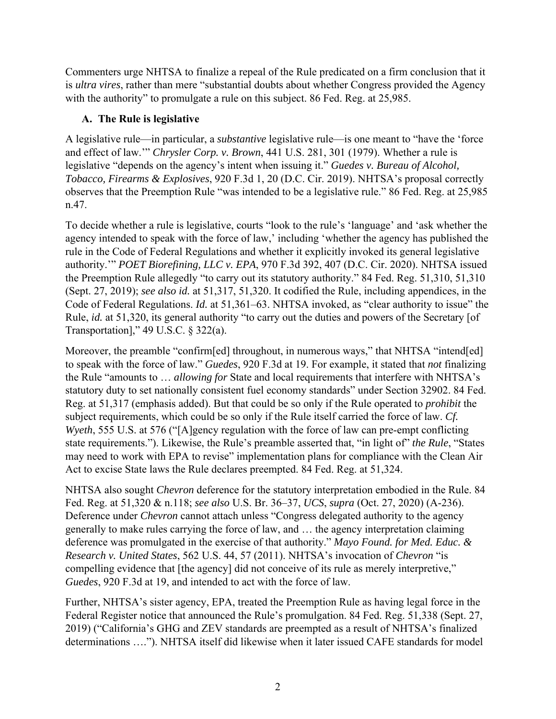Commenters urge NHTSA to finalize a repeal of the Rule predicated on a firm conclusion that it is *ultra vires*, rather than mere "substantial doubts about whether Congress provided the Agency with the authority" to promulgate a rule on this subject. 86 Fed. Reg. at 25,985.

# **A. The Rule is legislative**

A legislative rule—in particular, a *substantive* legislative rule—is one meant to "have the 'force and effect of law.'" *Chrysler Corp. v. Brown*, 441 U.S. 281, 301 (1979). Whether a rule is legislative "depends on the agency's intent when issuing it." *Guedes v. Bureau of Alcohol, Tobacco, Firearms & Explosives*, 920 F.3d 1, 20 (D.C. Cir. 2019). NHTSA's proposal correctly observes that the Preemption Rule "was intended to be a legislative rule." 86 Fed. Reg. at 25,985 n.47.

To decide whether a rule is legislative, courts "look to the rule's 'language' and 'ask whether the agency intended to speak with the force of law,' including 'whether the agency has published the rule in the Code of Federal Regulations and whether it explicitly invoked its general legislative authority.'" *POET Biorefining, LLC v. EPA*, 970 F.3d 392, 407 (D.C. Cir. 2020). NHTSA issued the Preemption Rule allegedly "to carry out its statutory authority." 84 Fed. Reg. 51,310, 51,310 (Sept. 27, 2019); *see also id.* at 51,317, 51,320. It codified the Rule, including appendices, in the Code of Federal Regulations. *Id.* at 51,361–63. NHTSA invoked, as "clear authority to issue" the Rule, *id.* at 51,320, its general authority "to carry out the duties and powers of the Secretary [of Transportation]," 49 U.S.C. § 322(a).

Moreover, the preamble "confirm[ed] throughout, in numerous ways," that NHTSA "intend[ed] to speak with the force of law." *Guedes*, 920 F.3d at 19. For example, it stated that *not* finalizing the Rule "amounts to … *allowing for* State and local requirements that interfere with NHTSA's statutory duty to set nationally consistent fuel economy standards" under Section 32902. 84 Fed. Reg. at 51,317 (emphasis added). But that could be so only if the Rule operated to *prohibit* the subject requirements, which could be so only if the Rule itself carried the force of law. *Cf. Wyeth*, 555 U.S. at 576 ("[A]gency regulation with the force of law can pre-empt conflicting state requirements."). Likewise, the Rule's preamble asserted that, "in light of" *the Rule*, "States may need to work with EPA to revise" implementation plans for compliance with the Clean Air Act to excise State laws the Rule declares preempted. 84 Fed. Reg. at 51,324.

NHTSA also sought *Chevron* deference for the statutory interpretation embodied in the Rule. 84 Fed. Reg. at 51,320 & n.118; *see also* U.S. Br. 36–37, *UCS*, *supra* (Oct. 27, 2020) (A-236). Deference under *Chevron* cannot attach unless "Congress delegated authority to the agency generally to make rules carrying the force of law, and … the agency interpretation claiming deference was promulgated in the exercise of that authority." *Mayo Found. for Med. Educ. & Research v. United States*, 562 U.S. 44, 57 (2011). NHTSA's invocation of *Chevron* "is compelling evidence that [the agency] did not conceive of its rule as merely interpretive," *Guedes*, 920 F.3d at 19, and intended to act with the force of law.

Further, NHTSA's sister agency, EPA, treated the Preemption Rule as having legal force in the Federal Register notice that announced the Rule's promulgation. 84 Fed. Reg. 51,338 (Sept. 27, 2019) ("California's GHG and ZEV standards are preempted as a result of NHTSA's finalized determinations …."). NHTSA itself did likewise when it later issued CAFE standards for model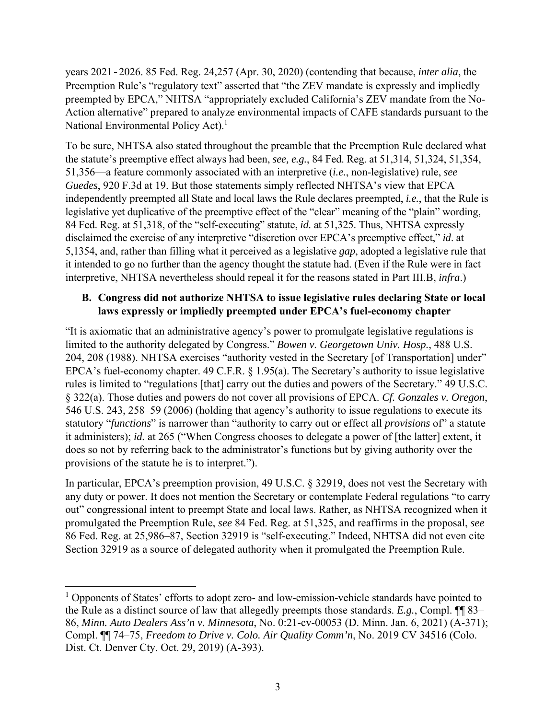years 2021-2026. 85 Fed. Reg. 24,257 (Apr. 30, 2020) (contending that because, *inter alia*, the Preemption Rule's "regulatory text" asserted that "the ZEV mandate is expressly and impliedly preempted by EPCA," NHTSA "appropriately excluded California's ZEV mandate from the No-Action alternative" prepared to analyze environmental impacts of CAFE standards pursuant to the National Environmental Policy Act).<sup>1</sup>

To be sure, NHTSA also stated throughout the preamble that the Preemption Rule declared what the statute's preemptive effect always had been, *see, e.g.*, 84 Fed. Reg. at 51,314, 51,324, 51,354, 51,356—a feature commonly associated with an interpretive (*i.e.*, non-legislative) rule, *see Guedes*, 920 F.3d at 19. But those statements simply reflected NHTSA's view that EPCA independently preempted all State and local laws the Rule declares preempted, *i.e.*, that the Rule is legislative yet duplicative of the preemptive effect of the "clear" meaning of the "plain" wording, 84 Fed. Reg. at 51,318, of the "self-executing" statute, *id.* at 51,325. Thus, NHTSA expressly disclaimed the exercise of any interpretive "discretion over EPCA's preemptive effect," *id*. at 5,1354, and, rather than filling what it perceived as a legislative *gap*, adopted a legislative rule that it intended to go no further than the agency thought the statute had. (Even if the Rule were in fact interpretive, NHTSA nevertheless should repeal it for the reasons stated in Part III.B, *infra*.)

#### **B. Congress did not authorize NHTSA to issue legislative rules declaring State or local laws expressly or impliedly preempted under EPCA's fuel-economy chapter**

"It is axiomatic that an administrative agency's power to promulgate legislative regulations is limited to the authority delegated by Congress." *Bowen v. Georgetown Univ. Hosp.*, 488 U.S. 204, 208 (1988). NHTSA exercises "authority vested in the Secretary [of Transportation] under" EPCA's fuel-economy chapter. 49 C.F.R. § 1.95(a). The Secretary's authority to issue legislative rules is limited to "regulations [that] carry out the duties and powers of the Secretary." 49 U.S.C. § 322(a). Those duties and powers do not cover all provisions of EPCA. *Cf. Gonzales v. Oregon*, 546 U.S. 243, 258–59 (2006) (holding that agency's authority to issue regulations to execute its statutory "*functions*" is narrower than "authority to carry out or effect all *provisions* of" a statute it administers); *id.* at 265 ("When Congress chooses to delegate a power of [the latter] extent, it does so not by referring back to the administrator's functions but by giving authority over the provisions of the statute he is to interpret.").

In particular, EPCA's preemption provision, 49 U.S.C. § 32919, does not vest the Secretary with any duty or power. It does not mention the Secretary or contemplate Federal regulations "to carry out" congressional intent to preempt State and local laws. Rather, as NHTSA recognized when it promulgated the Preemption Rule, *see* 84 Fed. Reg. at 51,325, and reaffirms in the proposal, *see*  86 Fed. Reg. at 25,986–87, Section 32919 is "self-executing." Indeed, NHTSA did not even cite Section 32919 as a source of delegated authority when it promulgated the Preemption Rule.

<sup>&</sup>lt;sup>1</sup> Opponents of States' efforts to adopt zero- and low-emission-vehicle standards have pointed to the Rule as a distinct source of law that allegedly preempts those standards. *E.g.*, Compl. ¶¶ 83– 86, *Minn. Auto Dealers Ass'n v. Minnesota*, No. 0:21-cv-00053 (D. Minn. Jan. 6, 2021) (A-371); Compl. ¶¶ 74–75, *Freedom to Drive v. Colo. Air Quality Comm'n*, No. 2019 CV 34516 (Colo. Dist. Ct. Denver Cty. Oct. 29, 2019) (A-393).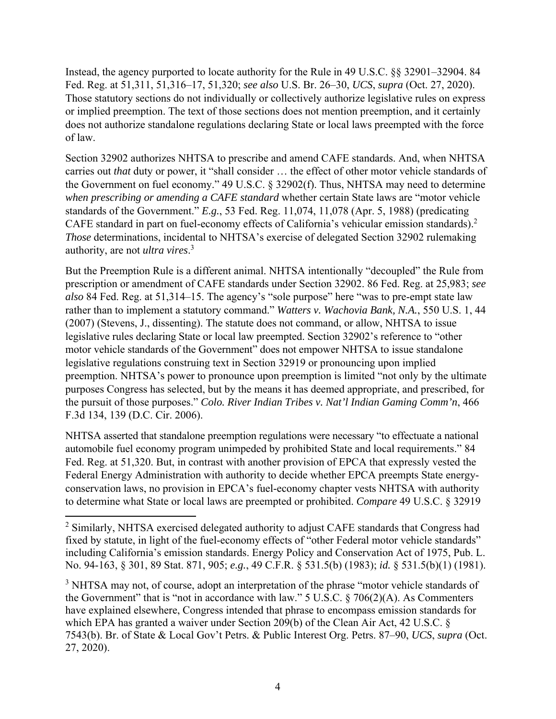Instead, the agency purported to locate authority for the Rule in 49 U.S.C. §§ 32901–32904. 84 Fed. Reg. at 51,311, 51,316–17, 51,320; *see also* U.S. Br. 26–30, *UCS*, *supra* (Oct. 27, 2020). Those statutory sections do not individually or collectively authorize legislative rules on express or implied preemption. The text of those sections does not mention preemption, and it certainly does not authorize standalone regulations declaring State or local laws preempted with the force of law.

Section 32902 authorizes NHTSA to prescribe and amend CAFE standards. And, when NHTSA carries out *that* duty or power, it "shall consider … the effect of other motor vehicle standards of the Government on fuel economy." 49 U.S.C. § 32902(f). Thus, NHTSA may need to determine *when prescribing or amending a CAFE standard* whether certain State laws are "motor vehicle standards of the Government." *E.g.*, 53 Fed. Reg. 11,074, 11,078 (Apr. 5, 1988) (predicating CAFE standard in part on fuel-economy effects of California's vehicular emission standards).2 *Those* determinations, incidental to NHTSA's exercise of delegated Section 32902 rulemaking authority, are not *ultra vires*. 3

But the Preemption Rule is a different animal. NHTSA intentionally "decoupled" the Rule from prescription or amendment of CAFE standards under Section 32902. 86 Fed. Reg. at 25,983; *see also* 84 Fed. Reg. at 51,314–15. The agency's "sole purpose" here "was to pre-empt state law rather than to implement a statutory command." *Watters v. Wachovia Bank, N.A.*, 550 U.S. 1, 44 (2007) (Stevens, J., dissenting). The statute does not command, or allow, NHTSA to issue legislative rules declaring State or local law preempted. Section 32902's reference to "other motor vehicle standards of the Government" does not empower NHTSA to issue standalone legislative regulations construing text in Section 32919 or pronouncing upon implied preemption. NHTSA's power to pronounce upon preemption is limited "not only by the ultimate purposes Congress has selected, but by the means it has deemed appropriate, and prescribed, for the pursuit of those purposes." *Colo. River Indian Tribes v. Nat'l Indian Gaming Comm'n*, 466 F.3d 134, 139 (D.C. Cir. 2006).

NHTSA asserted that standalone preemption regulations were necessary "to effectuate a national automobile fuel economy program unimpeded by prohibited State and local requirements." 84 Fed. Reg. at 51,320. But, in contrast with another provision of EPCA that expressly vested the Federal Energy Administration with authority to decide whether EPCA preempts State energyconservation laws, no provision in EPCA's fuel-economy chapter vests NHTSA with authority to determine what State or local laws are preempted or prohibited. *Compare* 49 U.S.C. § 32919

 $2$  Similarly, NHTSA exercised delegated authority to adjust CAFE standards that Congress had fixed by statute, in light of the fuel-economy effects of "other Federal motor vehicle standards" including California's emission standards. Energy Policy and Conservation Act of 1975, Pub. L. No. 94-163, § 301, 89 Stat. 871, 905; *e.g.*, 49 C.F.R. § 531.5(b) (1983); *id.* § 531.5(b)(1) (1981).

<sup>&</sup>lt;sup>3</sup> NHTSA may not, of course, adopt an interpretation of the phrase "motor vehicle standards of the Government" that is "not in accordance with law." 5 U.S.C.  $\S$  706(2)(A). As Commenters have explained elsewhere, Congress intended that phrase to encompass emission standards for which EPA has granted a waiver under Section 209(b) of the Clean Air Act, 42 U.S.C. § 7543(b). Br. of State & Local Gov't Petrs. & Public Interest Org. Petrs. 87–90, *UCS*, *supra* (Oct. 27, 2020).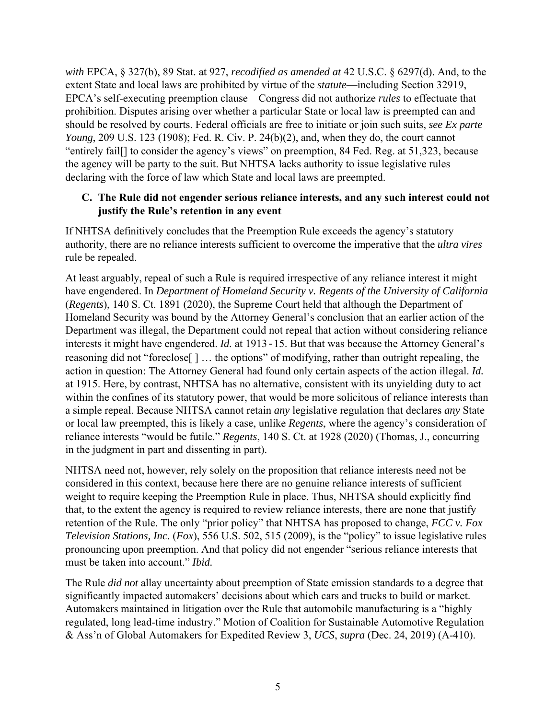*with* EPCA, § 327(b), 89 Stat. at 927, *recodified as amended at* 42 U.S.C. § 6297(d). And, to the extent State and local laws are prohibited by virtue of the *statute*—including Section 32919, EPCA's self-executing preemption clause—Congress did not authorize *rules* to effectuate that prohibition. Disputes arising over whether a particular State or local law is preempted can and should be resolved by courts. Federal officials are free to initiate or join such suits, *see Ex parte Young*, 209 U.S. 123 (1908); Fed. R. Civ. P. 24(b)(2), and, when they do, the court cannot "entirely fail[] to consider the agency's views" on preemption, 84 Fed. Reg. at 51,323, because the agency will be party to the suit. But NHTSA lacks authority to issue legislative rules declaring with the force of law which State and local laws are preempted.

#### **C. The Rule did not engender serious reliance interests, and any such interest could not justify the Rule's retention in any event**

If NHTSA definitively concludes that the Preemption Rule exceeds the agency's statutory authority, there are no reliance interests sufficient to overcome the imperative that the *ultra vires* rule be repealed.

At least arguably, repeal of such a Rule is required irrespective of any reliance interest it might have engendered. In *Department of Homeland Security v. Regents of the University of California* (*Regents*), 140 S. Ct. 1891 (2020), the Supreme Court held that although the Department of Homeland Security was bound by the Attorney General's conclusion that an earlier action of the Department was illegal, the Department could not repeal that action without considering reliance interests it might have engendered. *Id.* at 1913-15. But that was because the Attorney General's reasoning did not "foreclose[ ] … the options" of modifying, rather than outright repealing, the action in question: The Attorney General had found only certain aspects of the action illegal. *Id.* at 1915. Here, by contrast, NHTSA has no alternative, consistent with its unyielding duty to act within the confines of its statutory power, that would be more solicitous of reliance interests than a simple repeal. Because NHTSA cannot retain *any* legislative regulation that declares *any* State or local law preempted, this is likely a case, unlike *Regents*, where the agency's consideration of reliance interests "would be futile." *Regents*, 140 S. Ct. at 1928 (2020) (Thomas, J., concurring in the judgment in part and dissenting in part).

NHTSA need not, however, rely solely on the proposition that reliance interests need not be considered in this context, because here there are no genuine reliance interests of sufficient weight to require keeping the Preemption Rule in place. Thus, NHTSA should explicitly find that, to the extent the agency is required to review reliance interests, there are none that justify retention of the Rule. The only "prior policy" that NHTSA has proposed to change, *FCC v. Fox Television Stations, Inc.* (*Fox*), 556 U.S. 502, 515 (2009), is the "policy" to issue legislative rules pronouncing upon preemption. And that policy did not engender "serious reliance interests that must be taken into account." *Ibid.*

The Rule *did not* allay uncertainty about preemption of State emission standards to a degree that significantly impacted automakers' decisions about which cars and trucks to build or market. Automakers maintained in litigation over the Rule that automobile manufacturing is a "highly regulated, long lead-time industry." Motion of Coalition for Sustainable Automotive Regulation & Ass'n of Global Automakers for Expedited Review 3, *UCS*, *supra* (Dec. 24, 2019) (A-410).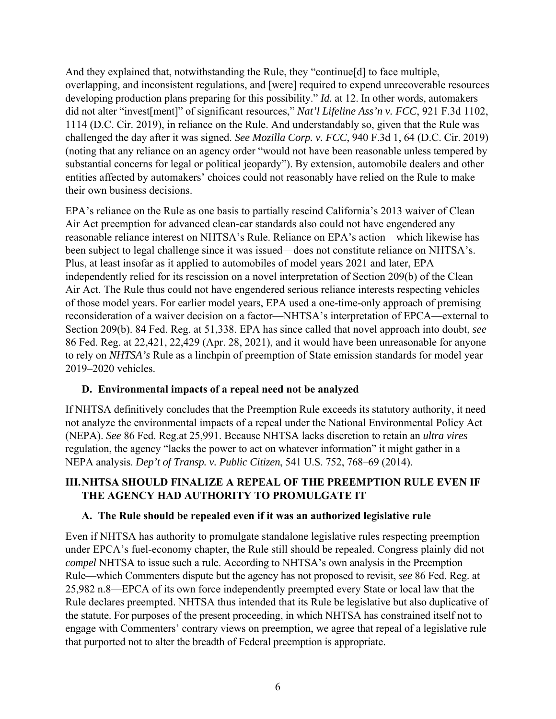And they explained that, notwithstanding the Rule, they "continue[d] to face multiple, overlapping, and inconsistent regulations, and [were] required to expend unrecoverable resources developing production plans preparing for this possibility." *Id.* at 12. In other words, automakers did not alter "invest[ment]" of significant resources," *Nat'l Lifeline Ass'n v. FCC*, 921 F.3d 1102, 1114 (D.C. Cir. 2019), in reliance on the Rule. And understandably so, given that the Rule was challenged the day after it was signed. *See Mozilla Corp. v. FCC*, 940 F.3d 1, 64 (D.C. Cir. 2019) (noting that any reliance on an agency order "would not have been reasonable unless tempered by substantial concerns for legal or political jeopardy"). By extension, automobile dealers and other entities affected by automakers' choices could not reasonably have relied on the Rule to make their own business decisions.

EPA's reliance on the Rule as one basis to partially rescind California's 2013 waiver of Clean Air Act preemption for advanced clean-car standards also could not have engendered any reasonable reliance interest on NHTSA's Rule. Reliance on EPA's action—which likewise has been subject to legal challenge since it was issued—does not constitute reliance on NHTSA's. Plus, at least insofar as it applied to automobiles of model years 2021 and later, EPA independently relied for its rescission on a novel interpretation of Section 209(b) of the Clean Air Act. The Rule thus could not have engendered serious reliance interests respecting vehicles of those model years. For earlier model years, EPA used a one-time-only approach of premising reconsideration of a waiver decision on a factor—NHTSA's interpretation of EPCA—external to Section 209(b). 84 Fed. Reg. at 51,338. EPA has since called that novel approach into doubt, *see* 86 Fed. Reg. at 22,421, 22,429 (Apr. 28, 2021), and it would have been unreasonable for anyone to rely on *NHTSA's* Rule as a linchpin of preemption of State emission standards for model year 2019–2020 vehicles.

## **D. Environmental impacts of a repeal need not be analyzed**

If NHTSA definitively concludes that the Preemption Rule exceeds its statutory authority, it need not analyze the environmental impacts of a repeal under the National Environmental Policy Act (NEPA). *See* 86 Fed. Reg.at 25,991. Because NHTSA lacks discretion to retain an *ultra vires* regulation, the agency "lacks the power to act on whatever information" it might gather in a NEPA analysis. *Dep't of Transp. v. Public Citizen*, 541 U.S. 752, 768–69 (2014).

## **III.NHTSA SHOULD FINALIZE A REPEAL OF THE PREEMPTION RULE EVEN IF THE AGENCY HAD AUTHORITY TO PROMULGATE IT**

## **A. The Rule should be repealed even if it was an authorized legislative rule**

Even if NHTSA has authority to promulgate standalone legislative rules respecting preemption under EPCA's fuel-economy chapter, the Rule still should be repealed. Congress plainly did not *compel* NHTSA to issue such a rule. According to NHTSA's own analysis in the Preemption Rule—which Commenters dispute but the agency has not proposed to revisit, *see* 86 Fed. Reg. at 25,982 n.8—EPCA of its own force independently preempted every State or local law that the Rule declares preempted. NHTSA thus intended that its Rule be legislative but also duplicative of the statute. For purposes of the present proceeding, in which NHTSA has constrained itself not to engage with Commenters' contrary views on preemption, we agree that repeal of a legislative rule that purported not to alter the breadth of Federal preemption is appropriate.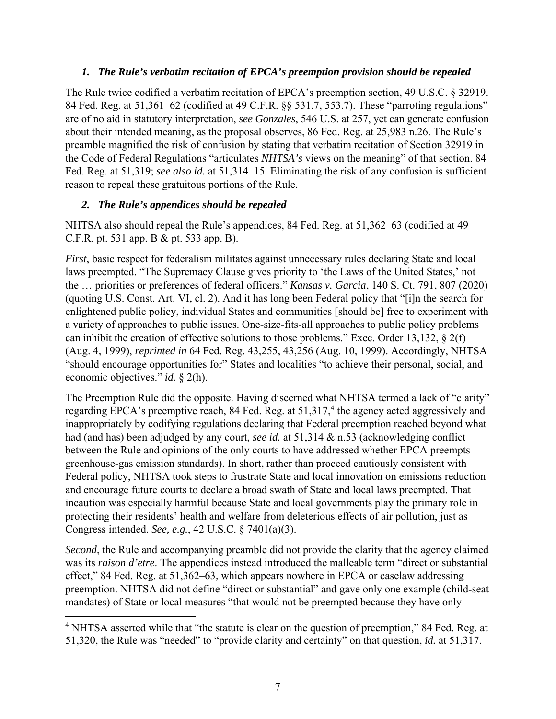#### *1. The Rule's verbatim recitation of EPCA's preemption provision should be repealed*

The Rule twice codified a verbatim recitation of EPCA's preemption section, 49 U.S.C. § 32919. 84 Fed. Reg. at 51,361–62 (codified at 49 C.F.R. §§ 531.7, 553.7). These "parroting regulations" are of no aid in statutory interpretation, *see Gonzales*, 546 U.S. at 257, yet can generate confusion about their intended meaning, as the proposal observes, 86 Fed. Reg. at 25,983 n.26. The Rule's preamble magnified the risk of confusion by stating that verbatim recitation of Section 32919 in the Code of Federal Regulations "articulates *NHTSA's* views on the meaning" of that section. 84 Fed. Reg. at 51,319; *see also id.* at 51,314–15. Eliminating the risk of any confusion is sufficient reason to repeal these gratuitous portions of the Rule.

## *2. The Rule's appendices should be repealed*

NHTSA also should repeal the Rule's appendices, 84 Fed. Reg. at 51,362–63 (codified at 49 C.F.R. pt. 531 app. B & pt. 533 app. B).

*First*, basic respect for federalism militates against unnecessary rules declaring State and local laws preempted. "The Supremacy Clause gives priority to 'the Laws of the United States,' not the … priorities or preferences of federal officers." *Kansas v. Garcia*, 140 S. Ct. 791, 807 (2020) (quoting U.S. Const. Art. VI, cl. 2). And it has long been Federal policy that "[i]n the search for enlightened public policy, individual States and communities [should be] free to experiment with a variety of approaches to public issues. One-size-fits-all approaches to public policy problems can inhibit the creation of effective solutions to those problems." Exec. Order 13,132, § 2(f) (Aug. 4, 1999), *reprinted in* 64 Fed. Reg. 43,255, 43,256 (Aug. 10, 1999). Accordingly, NHTSA "should encourage opportunities for" States and localities "to achieve their personal, social, and economic objectives." *id.* § 2(h).

The Preemption Rule did the opposite. Having discerned what NHTSA termed a lack of "clarity" regarding EPCA's preemptive reach, 84 Fed. Reg. at  $51,317,4$  the agency acted aggressively and inappropriately by codifying regulations declaring that Federal preemption reached beyond what had (and has) been adjudged by any court, *see id.* at 51,314 & n.53 (acknowledging conflict between the Rule and opinions of the only courts to have addressed whether EPCA preempts greenhouse-gas emission standards). In short, rather than proceed cautiously consistent with Federal policy, NHTSA took steps to frustrate State and local innovation on emissions reduction and encourage future courts to declare a broad swath of State and local laws preempted. That incaution was especially harmful because State and local governments play the primary role in protecting their residents' health and welfare from deleterious effects of air pollution, just as Congress intended. *See, e.g.*, 42 U.S.C. § 7401(a)(3).

*Second*, the Rule and accompanying preamble did not provide the clarity that the agency claimed was its *raison d'etre*. The appendices instead introduced the malleable term "direct or substantial effect," 84 Fed. Reg. at 51,362–63, which appears nowhere in EPCA or caselaw addressing preemption. NHTSA did not define "direct or substantial" and gave only one example (child-seat mandates) of State or local measures "that would not be preempted because they have only

<sup>&</sup>lt;sup>4</sup> NHTSA asserted while that "the statute is clear on the question of preemption," 84 Fed. Reg. at 51,320, the Rule was "needed" to "provide clarity and certainty" on that question, *id.* at 51,317.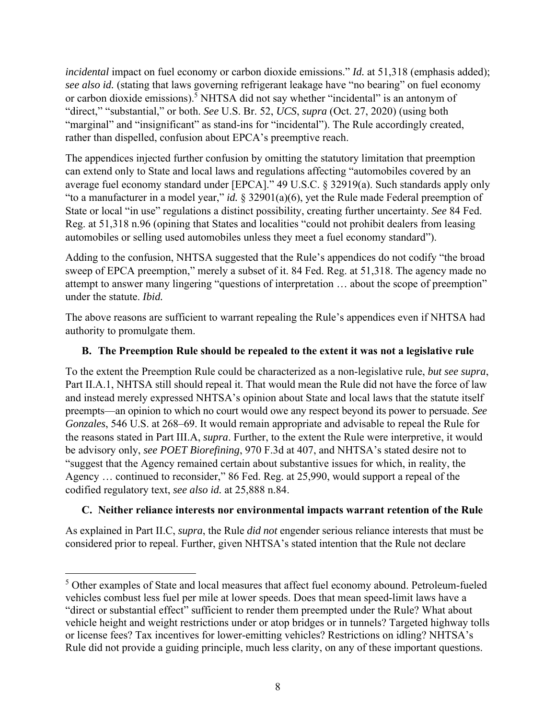*incidental* impact on fuel economy or carbon dioxide emissions." *Id.* at 51,318 (emphasis added); *see also id.* (stating that laws governing refrigerant leakage have "no bearing" on fuel economy or carbon dioxide emissions).<sup>5</sup> NHTSA did not say whether "incidental" is an antonym of "direct," "substantial," or both. *See* U.S. Br. 52, *UCS*, *supra* (Oct. 27, 2020) (using both "marginal" and "insignificant" as stand-ins for "incidental"). The Rule accordingly created, rather than dispelled, confusion about EPCA's preemptive reach.

The appendices injected further confusion by omitting the statutory limitation that preemption can extend only to State and local laws and regulations affecting "automobiles covered by an average fuel economy standard under [EPCA]." 49 U.S.C. § 32919(a). Such standards apply only "to a manufacturer in a model year," *id.* § 32901(a)(6), yet the Rule made Federal preemption of State or local "in use" regulations a distinct possibility, creating further uncertainty. *See* 84 Fed. Reg. at 51,318 n.96 (opining that States and localities "could not prohibit dealers from leasing automobiles or selling used automobiles unless they meet a fuel economy standard").

Adding to the confusion, NHTSA suggested that the Rule's appendices do not codify "the broad sweep of EPCA preemption," merely a subset of it. 84 Fed. Reg. at 51,318. The agency made no attempt to answer many lingering "questions of interpretation … about the scope of preemption" under the statute. *Ibid.*

The above reasons are sufficient to warrant repealing the Rule's appendices even if NHTSA had authority to promulgate them.

# **B. The Preemption Rule should be repealed to the extent it was not a legislative rule**

To the extent the Preemption Rule could be characterized as a non-legislative rule, *but see supra*, Part II.A.1, NHTSA still should repeal it. That would mean the Rule did not have the force of law and instead merely expressed NHTSA's opinion about State and local laws that the statute itself preempts—an opinion to which no court would owe any respect beyond its power to persuade. *See Gonzales*, 546 U.S. at 268–69. It would remain appropriate and advisable to repeal the Rule for the reasons stated in Part III.A, *supra*. Further, to the extent the Rule were interpretive, it would be advisory only, *see POET Biorefining*, 970 F.3d at 407, and NHTSA's stated desire not to "suggest that the Agency remained certain about substantive issues for which, in reality, the Agency … continued to reconsider," 86 Fed. Reg. at 25,990, would support a repeal of the codified regulatory text, *see also id.* at 25,888 n.84.

## **C. Neither reliance interests nor environmental impacts warrant retention of the Rule**

As explained in Part II.C, *supra*, the Rule *did not* engender serious reliance interests that must be considered prior to repeal. Further, given NHTSA's stated intention that the Rule not declare

<sup>&</sup>lt;sup>5</sup> Other examples of State and local measures that affect fuel economy abound. Petroleum-fueled vehicles combust less fuel per mile at lower speeds. Does that mean speed-limit laws have a "direct or substantial effect" sufficient to render them preempted under the Rule? What about vehicle height and weight restrictions under or atop bridges or in tunnels? Targeted highway tolls or license fees? Tax incentives for lower-emitting vehicles? Restrictions on idling? NHTSA's Rule did not provide a guiding principle, much less clarity, on any of these important questions.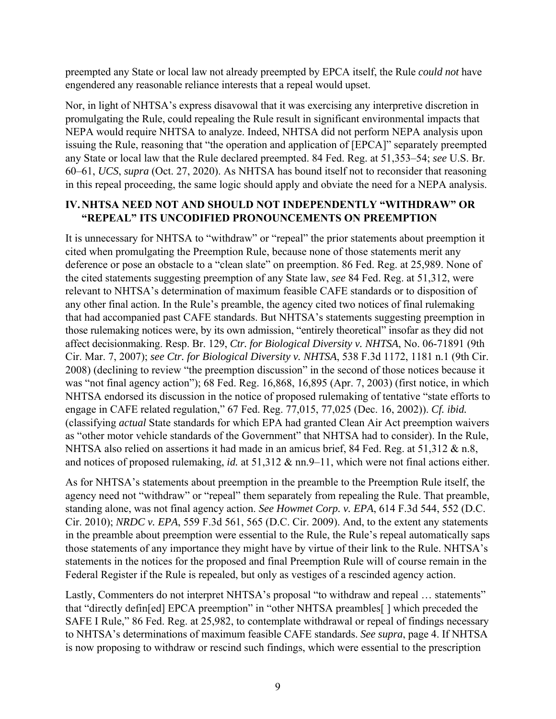preempted any State or local law not already preempted by EPCA itself, the Rule *could not* have engendered any reasonable reliance interests that a repeal would upset.

Nor, in light of NHTSA's express disavowal that it was exercising any interpretive discretion in promulgating the Rule, could repealing the Rule result in significant environmental impacts that NEPA would require NHTSA to analyze. Indeed, NHTSA did not perform NEPA analysis upon issuing the Rule, reasoning that "the operation and application of [EPCA]" separately preempted any State or local law that the Rule declared preempted. 84 Fed. Reg. at 51,353–54; *see* U.S. Br. 60–61, *UCS*, *supra* (Oct. 27, 2020). As NHTSA has bound itself not to reconsider that reasoning in this repeal proceeding, the same logic should apply and obviate the need for a NEPA analysis.

## **IV.NHTSA NEED NOT AND SHOULD NOT INDEPENDENTLY "WITHDRAW" OR "REPEAL" ITS UNCODIFIED PRONOUNCEMENTS ON PREEMPTION**

It is unnecessary for NHTSA to "withdraw" or "repeal" the prior statements about preemption it cited when promulgating the Preemption Rule, because none of those statements merit any deference or pose an obstacle to a "clean slate" on preemption. 86 Fed. Reg. at 25,989. None of the cited statements suggesting preemption of any State law, *see* 84 Fed. Reg. at 51,312, were relevant to NHTSA's determination of maximum feasible CAFE standards or to disposition of any other final action. In the Rule's preamble, the agency cited two notices of final rulemaking that had accompanied past CAFE standards. But NHTSA's statements suggesting preemption in those rulemaking notices were, by its own admission, "entirely theoretical" insofar as they did not affect decisionmaking. Resp. Br. 129, *Ctr. for Biological Diversity v. NHTSA*, No. 06-71891 (9th Cir. Mar. 7, 2007); *see Ctr. for Biological Diversity v. NHTSA*, 538 F.3d 1172, 1181 n.1 (9th Cir. 2008) (declining to review "the preemption discussion" in the second of those notices because it was "not final agency action"); 68 Fed. Reg. 16,868, 16,895 (Apr. 7, 2003) (first notice, in which NHTSA endorsed its discussion in the notice of proposed rulemaking of tentative "state efforts to engage in CAFE related regulation," 67 Fed. Reg. 77,015, 77,025 (Dec. 16, 2002)). *Cf. ibid.* (classifying *actual* State standards for which EPA had granted Clean Air Act preemption waivers as "other motor vehicle standards of the Government" that NHTSA had to consider). In the Rule, NHTSA also relied on assertions it had made in an amicus brief, 84 Fed. Reg. at 51,312 & n.8, and notices of proposed rulemaking, *id.* at 51,312 & nn.9–11, which were not final actions either.

As for NHTSA's statements about preemption in the preamble to the Preemption Rule itself, the agency need not "withdraw" or "repeal" them separately from repealing the Rule. That preamble, standing alone, was not final agency action. *See Howmet Corp. v. EPA*, 614 F.3d 544, 552 (D.C. Cir. 2010); *NRDC v. EPA*, 559 F.3d 561, 565 (D.C. Cir. 2009). And, to the extent any statements in the preamble about preemption were essential to the Rule, the Rule's repeal automatically saps those statements of any importance they might have by virtue of their link to the Rule. NHTSA's statements in the notices for the proposed and final Preemption Rule will of course remain in the Federal Register if the Rule is repealed, but only as vestiges of a rescinded agency action.

Lastly, Commenters do not interpret NHTSA's proposal "to withdraw and repeal ... statements" that "directly defin[ed] EPCA preemption" in "other NHTSA preambles[ ] which preceded the SAFE I Rule," 86 Fed. Reg. at 25,982, to contemplate withdrawal or repeal of findings necessary to NHTSA's determinations of maximum feasible CAFE standards. *See supra*, page 4. If NHTSA is now proposing to withdraw or rescind such findings, which were essential to the prescription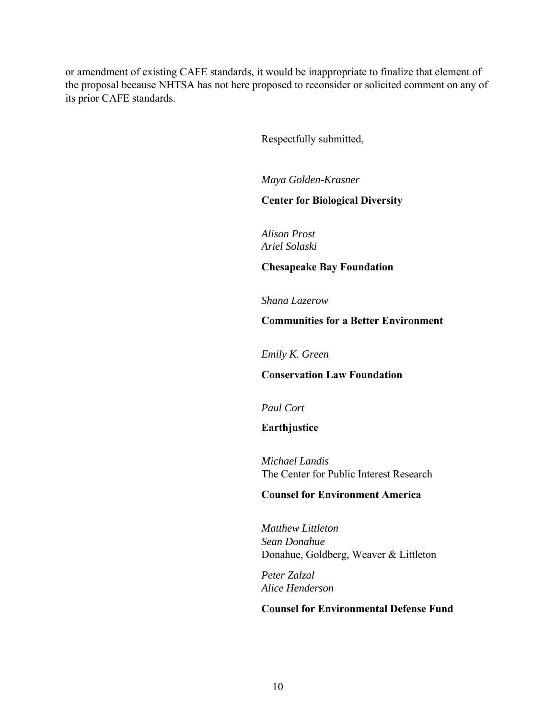or amendment of existing CAFE standards, it would be inappropriate to finalize that element of the proposal because NHTSA has not here proposed to reconsider or solicited comment on any of its prior CAFE standards.

Respectfully submitted,

*Maya Golden-Krasner* 

#### **Center for Biological Diversity**

*Alison Prost Ariel Solaski* 

**Chesapeake Bay Foundation** 

*Shana Lazerow* 

**Communities for a Better Environment** 

*Emily K. Green* 

**Conservation Law Foundation** 

*Paul Cort* 

**Earthjustice** 

*Michael Landis*  The Center for Public Interest Research

#### **Counsel for Environment America**

*Matthew Littleton Sean Donahue*  Donahue, Goldberg, Weaver & Littleton

*Peter Zalzal Alice Henderson* 

#### **Counsel for Environmental Defense Fund**